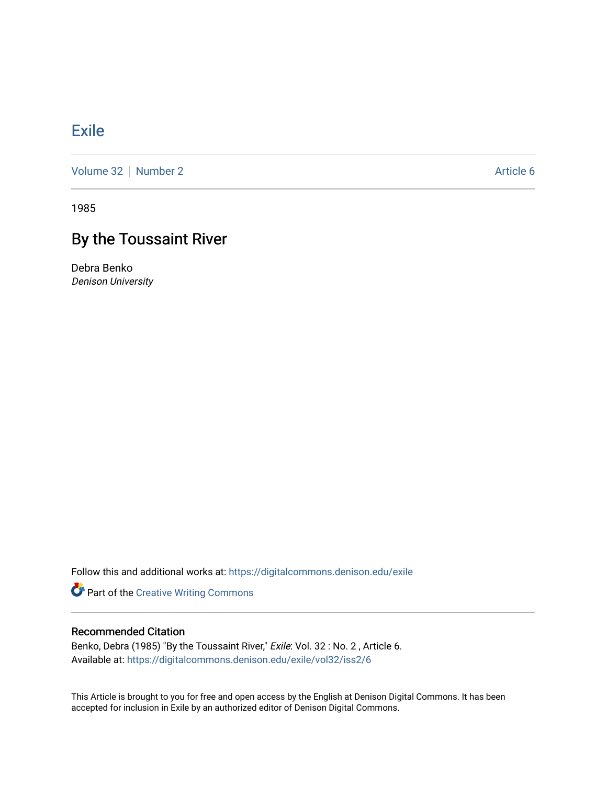## [Exile](https://digitalcommons.denison.edu/exile)

[Volume 32](https://digitalcommons.denison.edu/exile/vol32) [Number 2](https://digitalcommons.denison.edu/exile/vol32/iss2) Article 6

1985

## By the Toussaint River

Debra Benko Denison University

Follow this and additional works at: [https://digitalcommons.denison.edu/exile](https://digitalcommons.denison.edu/exile?utm_source=digitalcommons.denison.edu%2Fexile%2Fvol32%2Fiss2%2F6&utm_medium=PDF&utm_campaign=PDFCoverPages) 

Part of the [Creative Writing Commons](http://network.bepress.com/hgg/discipline/574?utm_source=digitalcommons.denison.edu%2Fexile%2Fvol32%2Fiss2%2F6&utm_medium=PDF&utm_campaign=PDFCoverPages) 

## Recommended Citation

Benko, Debra (1985) "By the Toussaint River," Exile: Vol. 32 : No. 2, Article 6. Available at: [https://digitalcommons.denison.edu/exile/vol32/iss2/6](https://digitalcommons.denison.edu/exile/vol32/iss2/6?utm_source=digitalcommons.denison.edu%2Fexile%2Fvol32%2Fiss2%2F6&utm_medium=PDF&utm_campaign=PDFCoverPages) 

This Article is brought to you for free and open access by the English at Denison Digital Commons. It has been accepted for inclusion in Exile by an authorized editor of Denison Digital Commons.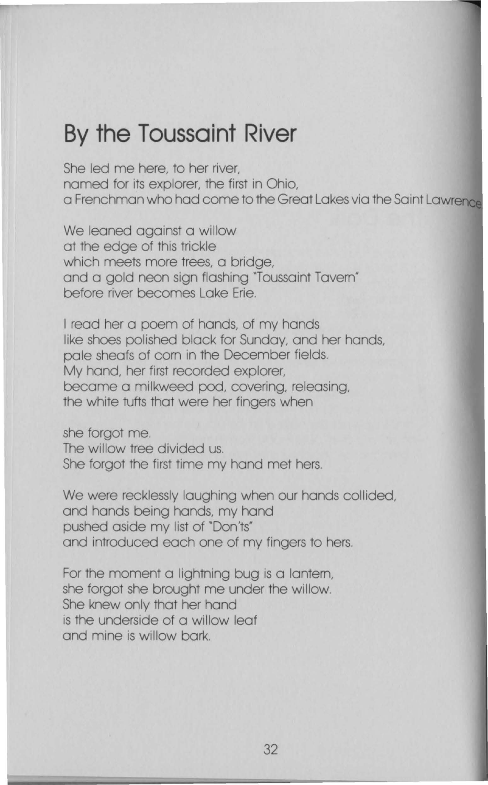## **By the Toussaint River**

She led me here, to her river, named for its explorer, the first in Ohio, a Frenchman who had come to the Great Lakes via the Saint Lawrence

We leaned against a willow at the edge of this trickle which meets more trees, a bridge, and a gold neon sign flashing "Toussaint Tavem" before river becomes Lake Erie.

I read her a poem of hands, of my hands like shoes polished block for Sunday, and her hands, pole sheafs of com in the December fields. My hand, her first recorded explorer, become a milkweed pod, covering, releasing, the white tufts that were her fingers when

she forgot me. The willow tree divided us. She forgot the first time my hand met hers.

We were recklessly laughing when our hands collided, and hands being hands, my hand pushed aside my list of "Don'ts" and introduced each one of my fingers to hers.

For the moment a lightning bug is a lantern, she forgot she brought me under the willow. She knew only that her hand is the underside of a willow leaf and mine is willow bark.